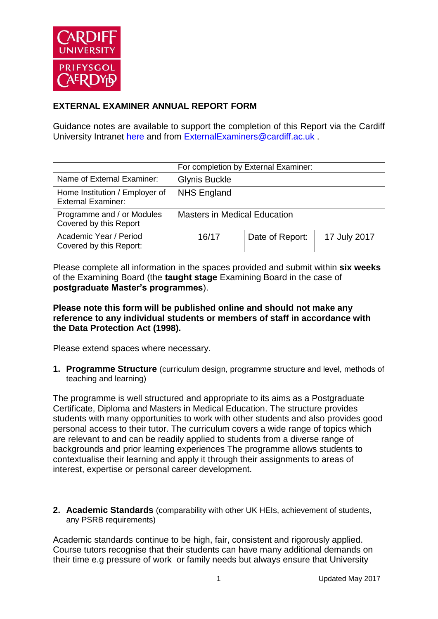

## **EXTERNAL EXAMINER ANNUAL REPORT FORM**

Guidance notes are available to support the completion of this Report via the Cardiff University Intranet [here](https://intranet.cardiff.ac.uk/staff/teaching-and-supporting-students/exams-and-assessment/exam-boards-and-external-examiners/for-current-external-examiners/external-examiners-reports) and from [ExternalExaminers@cardiff.ac.uk](mailto:ExternalExaminers@cardiff.ac.uk) .

|                                                             |                                     | For completion by External Examiner: |              |
|-------------------------------------------------------------|-------------------------------------|--------------------------------------|--------------|
| Name of External Examiner:                                  | <b>Glynis Buckle</b>                |                                      |              |
| Home Institution / Employer of<br><b>External Examiner:</b> | <b>NHS England</b>                  |                                      |              |
| Programme and / or Modules<br>Covered by this Report        | <b>Masters in Medical Education</b> |                                      |              |
| Academic Year / Period<br>Covered by this Report:           | 16/17                               | Date of Report:                      | 17 July 2017 |

Please complete all information in the spaces provided and submit within **six weeks** of the Examining Board (the **taught stage** Examining Board in the case of **postgraduate Master's programmes**).

## **Please note this form will be published online and should not make any reference to any individual students or members of staff in accordance with the Data Protection Act (1998).**

Please extend spaces where necessary.

**1. Programme Structure** (curriculum design, programme structure and level, methods of teaching and learning)

The programme is well structured and appropriate to its aims as a Postgraduate Certificate, Diploma and Masters in Medical Education. The structure provides students with many opportunities to work with other students and also provides good personal access to their tutor. The curriculum covers a wide range of topics which are relevant to and can be readily applied to students from a diverse range of backgrounds and prior learning experiences The programme allows students to contextualise their learning and apply it through their assignments to areas of interest, expertise or personal career development.

**2. Academic Standards** (comparability with other UK HEIs, achievement of students, any PSRB requirements)

Academic standards continue to be high, fair, consistent and rigorously applied. Course tutors recognise that their students can have many additional demands on their time e.g pressure of work or family needs but always ensure that University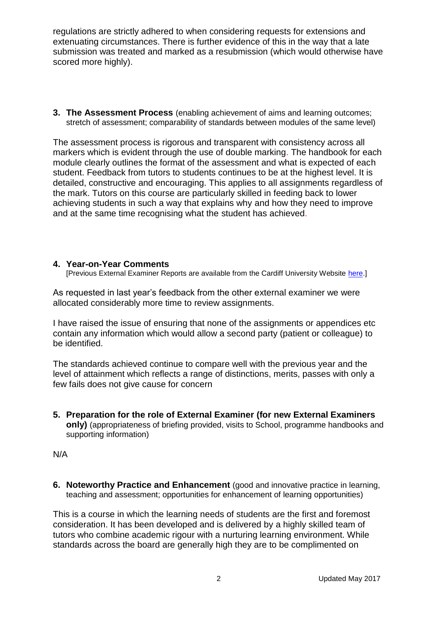regulations are strictly adhered to when considering requests for extensions and extenuating circumstances. There is further evidence of this in the way that a late submission was treated and marked as a resubmission (which would otherwise have scored more highly).

**3. The Assessment Process** (enabling achievement of aims and learning outcomes; stretch of assessment; comparability of standards between modules of the same level)

The assessment process is rigorous and transparent with consistency across all markers which is evident through the use of double marking. The handbook for each module clearly outlines the format of the assessment and what is expected of each student. Feedback from tutors to students continues to be at the highest level. It is detailed, constructive and encouraging. This applies to all assignments regardless of the mark. Tutors on this course are particularly skilled in feeding back to lower achieving students in such a way that explains why and how they need to improve and at the same time recognising what the student has achieved.

## **4. Year-on-Year Comments**

[Previous External Examiner Reports are available from the Cardiff University Website [here.](https://www.cardiff.ac.uk/public-information/quality-and-standards/external-examiner-reports)]

As requested in last year's feedback from the other external examiner we were allocated considerably more time to review assignments.

I have raised the issue of ensuring that none of the assignments or appendices etc contain any information which would allow a second party (patient or colleague) to be identified.

The standards achieved continue to compare well with the previous year and the level of attainment which reflects a range of distinctions, merits, passes with only a few fails does not give cause for concern

**5. Preparation for the role of External Examiner (for new External Examiners only)** (appropriateness of briefing provided, visits to School, programme handbooks and supporting information)

N/A

**6. Noteworthy Practice and Enhancement** (good and innovative practice in learning, teaching and assessment; opportunities for enhancement of learning opportunities)

This is a course in which the learning needs of students are the first and foremost consideration. It has been developed and is delivered by a highly skilled team of tutors who combine academic rigour with a nurturing learning environment. While standards across the board are generally high they are to be complimented on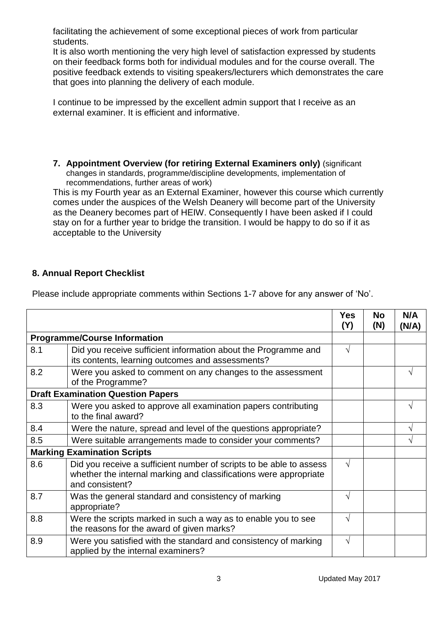facilitating the achievement of some exceptional pieces of work from particular students.

It is also worth mentioning the very high level of satisfaction expressed by students on their feedback forms both for individual modules and for the course overall. The positive feedback extends to visiting speakers/lecturers which demonstrates the care that goes into planning the delivery of each module.

I continue to be impressed by the excellent admin support that I receive as an external examiner. It is efficient and informative.

**7. Appointment Overview (for retiring External Examiners only)** (significant changes in standards, programme/discipline developments, implementation of recommendations, further areas of work)

This is my Fourth year as an External Examiner, however this course which currently comes under the auspices of the Welsh Deanery will become part of the University as the Deanery becomes part of HEIW. Consequently I have been asked if I could stay on for a further year to bridge the transition. I would be happy to do so if it as acceptable to the University

## **8. Annual Report Checklist**

|                                    |                                                                                                                                                             | <b>Yes</b><br>(Y) | <b>No</b><br>(N) | N/A<br>(N/A) |
|------------------------------------|-------------------------------------------------------------------------------------------------------------------------------------------------------------|-------------------|------------------|--------------|
|                                    | <b>Programme/Course Information</b>                                                                                                                         |                   |                  |              |
| 8.1                                | Did you receive sufficient information about the Programme and<br>its contents, learning outcomes and assessments?                                          | √                 |                  |              |
| 8.2                                | Were you asked to comment on any changes to the assessment<br>of the Programme?                                                                             |                   |                  |              |
|                                    | <b>Draft Examination Question Papers</b>                                                                                                                    |                   |                  |              |
| 8.3                                | Were you asked to approve all examination papers contributing<br>to the final award?                                                                        |                   |                  |              |
| 8.4                                | Were the nature, spread and level of the questions appropriate?                                                                                             |                   |                  |              |
| 8.5                                | Were suitable arrangements made to consider your comments?                                                                                                  |                   |                  | V            |
| <b>Marking Examination Scripts</b> |                                                                                                                                                             |                   |                  |              |
| 8.6                                | Did you receive a sufficient number of scripts to be able to assess<br>whether the internal marking and classifications were appropriate<br>and consistent? | $\sqrt{}$         |                  |              |
| 8.7                                | Was the general standard and consistency of marking<br>appropriate?                                                                                         |                   |                  |              |
| 8.8                                | Were the scripts marked in such a way as to enable you to see<br>the reasons for the award of given marks?                                                  | √                 |                  |              |
| 8.9                                | Were you satisfied with the standard and consistency of marking<br>applied by the internal examiners?                                                       | V                 |                  |              |

Please include appropriate comments within Sections 1-7 above for any answer of 'No'.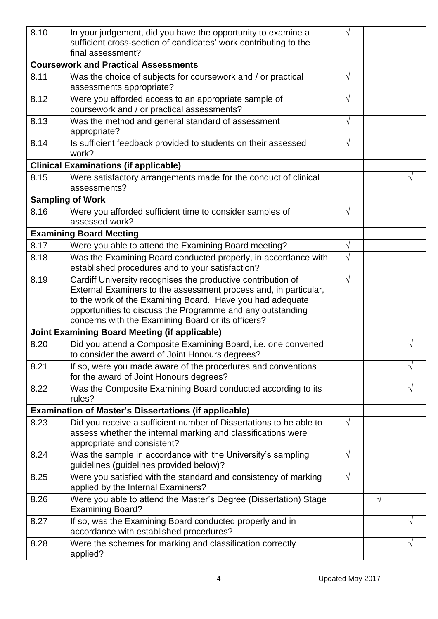| 8.10                                                 | In your judgement, did you have the opportunity to examine a<br>sufficient cross-section of candidates' work contributing to the<br>final assessment? |            |   |   |
|------------------------------------------------------|-------------------------------------------------------------------------------------------------------------------------------------------------------|------------|---|---|
|                                                      | <b>Coursework and Practical Assessments</b>                                                                                                           |            |   |   |
| 8.11                                                 | Was the choice of subjects for coursework and / or practical<br>assessments appropriate?                                                              |            |   |   |
| 8.12                                                 | Were you afforded access to an appropriate sample of<br>coursework and / or practical assessments?                                                    | $\sqrt{}$  |   |   |
| 8.13                                                 | Was the method and general standard of assessment<br>appropriate?                                                                                     | V          |   |   |
| 8.14                                                 | Is sufficient feedback provided to students on their assessed<br>work?                                                                                | V          |   |   |
|                                                      | <b>Clinical Examinations (if applicable)</b>                                                                                                          |            |   |   |
| 8.15                                                 | Were satisfactory arrangements made for the conduct of clinical<br>assessments?                                                                       |            |   | V |
|                                                      | <b>Sampling of Work</b>                                                                                                                               |            |   |   |
| 8.16                                                 | Were you afforded sufficient time to consider samples of<br>assessed work?                                                                            | V          |   |   |
|                                                      | <b>Examining Board Meeting</b>                                                                                                                        |            |   |   |
| 8.17                                                 | Were you able to attend the Examining Board meeting?                                                                                                  | V          |   |   |
| 8.18                                                 | Was the Examining Board conducted properly, in accordance with<br>established procedures and to your satisfaction?                                    |            |   |   |
| 8.19                                                 | Cardiff University recognises the productive contribution of                                                                                          | V          |   |   |
|                                                      | External Examiners to the assessment process and, in particular,                                                                                      |            |   |   |
|                                                      | to the work of the Examining Board. Have you had adequate                                                                                             |            |   |   |
|                                                      | opportunities to discuss the Programme and any outstanding<br>concerns with the Examining Board or its officers?                                      |            |   |   |
| <b>Joint Examining Board Meeting (if applicable)</b> |                                                                                                                                                       |            |   |   |
| 8.20                                                 | Did you attend a Composite Examining Board, i.e. one convened<br>to consider the award of Joint Honours degrees?                                      |            |   |   |
| 8.21                                                 | If so, were you made aware of the procedures and conventions<br>for the award of Joint Honours degrees?                                               |            |   |   |
| 8.22                                                 | Was the Composite Examining Board conducted according to its<br>rules?                                                                                |            |   |   |
|                                                      | <b>Examination of Master's Dissertations (if applicable)</b>                                                                                          |            |   |   |
| 8.23                                                 | Did you receive a sufficient number of Dissertations to be able to                                                                                    | $\sqrt{}$  |   |   |
|                                                      | assess whether the internal marking and classifications were<br>appropriate and consistent?                                                           |            |   |   |
| 8.24                                                 | Was the sample in accordance with the University's sampling<br>guidelines (guidelines provided below)?                                                | $\sqrt{}$  |   |   |
| 8.25                                                 | Were you satisfied with the standard and consistency of marking<br>applied by the Internal Examiners?                                                 | $\sqrt{ }$ |   |   |
| 8.26                                                 | Were you able to attend the Master's Degree (Dissertation) Stage<br><b>Examining Board?</b>                                                           |            | V |   |
| 8.27                                                 | If so, was the Examining Board conducted properly and in<br>accordance with established procedures?                                                   |            |   |   |
| 8.28                                                 | Were the schemes for marking and classification correctly<br>applied?                                                                                 |            |   | V |